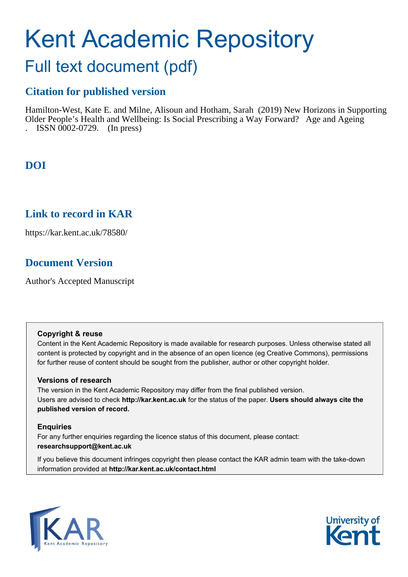# Kent Academic Repository

# Full text document (pdf)

## **Citation for published version**

Hamilton-West, Kate E. and Milne, Alisoun and Hotham, Sarah (2019) New Horizons in Supporting Older People's Health and Wellbeing: Is Social Prescribing a Way Forward? Age and Ageing . ISSN 0002-0729. (In press)

## **DOI**

## **Link to record in KAR**

https://kar.kent.ac.uk/78580/

## **Document Version**

Author's Accepted Manuscript

#### **Copyright & reuse**

Content in the Kent Academic Repository is made available for research purposes. Unless otherwise stated all content is protected by copyright and in the absence of an open licence (eg Creative Commons), permissions for further reuse of content should be sought from the publisher, author or other copyright holder.

#### **Versions of research**

The version in the Kent Academic Repository may differ from the final published version. Users are advised to check **http://kar.kent.ac.uk** for the status of the paper. **Users should always cite the published version of record.**

#### **Enquiries**

For any further enquiries regarding the licence status of this document, please contact: **researchsupport@kent.ac.uk**

If you believe this document infringes copyright then please contact the KAR admin team with the take-down information provided at **http://kar.kent.ac.uk/contact.html**



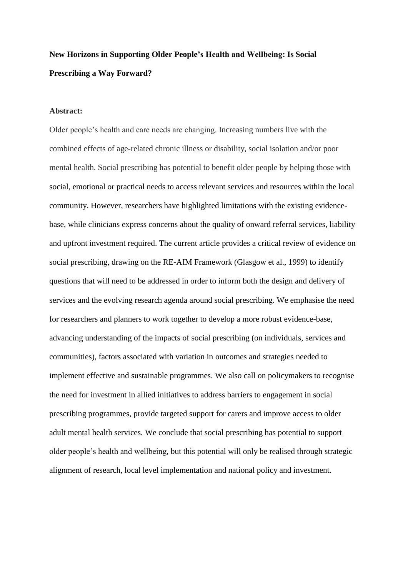## **New Horizons in Supporting Older People's Health and Wellbeing: Is Social Prescribing a Way Forward?**

#### **Abstract:**

Older people's health and care needs are changing. Increasing numbers live with the combined effects of age-related chronic illness or disability, social isolation and/or poor mental health. Social prescribing has potential to benefit older people by helping those with social, emotional or practical needs to access relevant services and resources within the local community. However, researchers have highlighted limitations with the existing evidencebase, while clinicians express concerns about the quality of onward referral services, liability and upfront investment required. The current article provides a critical review of evidence on social prescribing, drawing on the RE-AIM Framework (Glasgow et al., 1999) to identify questions that will need to be addressed in order to inform both the design and delivery of services and the evolving research agenda around social prescribing. We emphasise the need for researchers and planners to work together to develop a more robust evidence-base, advancing understanding of the impacts of social prescribing (on individuals, services and communities), factors associated with variation in outcomes and strategies needed to implement effective and sustainable programmes. We also call on policymakers to recognise the need for investment in allied initiatives to address barriers to engagement in social prescribing programmes, provide targeted support for carers and improve access to older adult mental health services. We conclude that social prescribing has potential to support older people's health and wellbeing, but this potential will only be realised through strategic alignment of research, local level implementation and national policy and investment.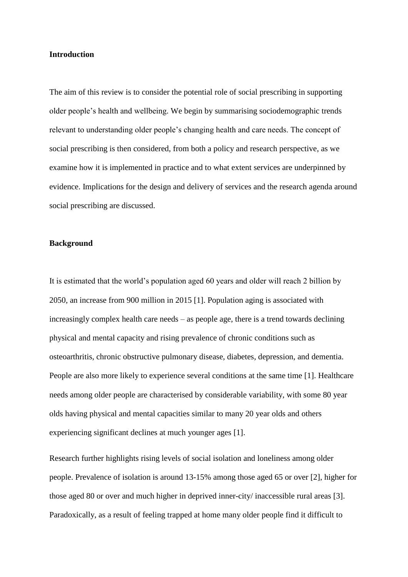#### **Introduction**

The aim of this review is to consider the potential role of social prescribing in supporting older people's health and wellbeing. We begin by summarising sociodemographic trends relevant to understanding older people's changing health and care needs. The concept of social prescribing is then considered, from both a policy and research perspective, as we examine how it is implemented in practice and to what extent services are underpinned by evidence. Implications for the design and delivery of services and the research agenda around social prescribing are discussed.

#### **Background**

It is estimated that the world's population aged 60 years and older will reach 2 billion by 2050, an increase from 900 million in 2015 [1]. Population aging is associated with increasingly complex health care needs – as people age, there is a trend towards declining physical and mental capacity and rising prevalence of chronic conditions such as osteoarthritis, chronic obstructive pulmonary disease, diabetes, depression, and dementia. People are also more likely to experience several conditions at the same time [1]. Healthcare needs among older people are characterised by considerable variability, with some 80 year olds having physical and mental capacities similar to many 20 year olds and others experiencing significant declines at much younger ages [1].

Research further highlights rising levels of social isolation and loneliness among older people. Prevalence of isolation is around 13-15% among those aged 65 or over [2], higher for those aged 80 or over and much higher in deprived inner-city/ inaccessible rural areas [3]. Paradoxically, as a result of feeling trapped at home many older people find it difficult to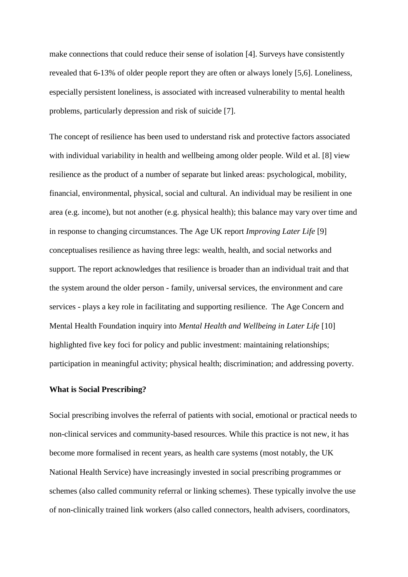make connections that could reduce their sense of isolation [4]. Surveys have consistently revealed that 6-13% of older people report they are often or always lonely [5,6]. Loneliness, especially persistent loneliness, is associated with increased vulnerability to mental health problems, particularly depression and risk of suicide [7].

The concept of resilience has been used to understand risk and protective factors associated with individual variability in health and wellbeing among older people. Wild et al. [8] view resilience as the product of a number of separate but linked areas: psychological, mobility, financial, environmental, physical, social and cultural. An individual may be resilient in one area (e.g. income), but not another (e.g. physical health); this balance may vary over time and in response to changing circumstances. The Age UK report *Improving Later Life* [9] conceptualises resilience as having three legs: wealth, health, and social networks and support. The report acknowledges that resilience is broader than an individual trait and that the system around the older person - family, universal services, the environment and care services - plays a key role in facilitating and supporting resilience. The Age Concern and Mental Health Foundation inquiry into *Mental Health and Wellbeing in Later Life* [10] highlighted five key foci for policy and public investment: maintaining relationships; participation in meaningful activity; physical health; discrimination; and addressing poverty.

#### **What is Social Prescribing?**

Social prescribing involves the referral of patients with social, emotional or practical needs to non-clinical services and community-based resources. While this practice is not new, it has become more formalised in recent years, as health care systems (most notably, the UK National Health Service) have increasingly invested in social prescribing programmes or schemes (also called community referral or linking schemes). These typically involve the use of non-clinically trained link workers (also called connectors, health advisers, coordinators,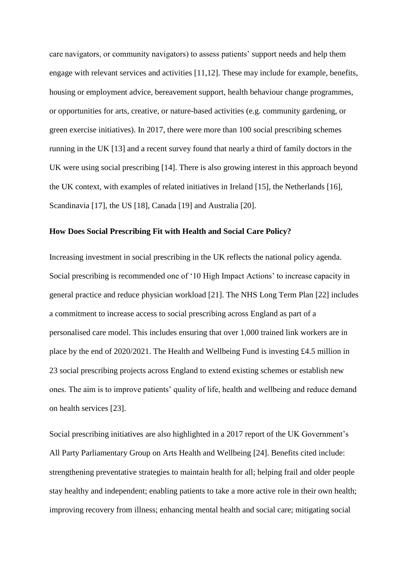care navigators, or community navigators) to assess patients' support needs and help them engage with relevant services and activities [11,12]. These may include for example, benefits, housing or employment advice, bereavement support, health behaviour change programmes, or opportunities for arts, creative, or nature-based activities (e.g. community gardening, or green exercise initiatives). In 2017, there were more than 100 social prescribing schemes running in the UK [13] and a recent survey found that nearly a third of family doctors in the UK were using social prescribing [14]. There is also growing interest in this approach beyond the UK context, with examples of related initiatives in Ireland [15], the Netherlands [16], Scandinavia [17], the US [18], Canada [19] and Australia [20].

#### **How Does Social Prescribing Fit with Health and Social Care Policy?**

Increasing investment in social prescribing in the UK reflects the national policy agenda. Social prescribing is recommended one of '10 High Impact Actions' to increase capacity in general practice and reduce physician workload [21]. The NHS Long Term Plan [22] includes a commitment to increase access to social prescribing across England as part of a personalised care model. This includes ensuring that over 1,000 trained link workers are in place by the end of 2020/2021. The Health and Wellbeing Fund is investing £4.5 million in 23 social prescribing projects across England to extend existing schemes or establish new ones. The aim is to improve patients' quality of life, health and wellbeing and reduce demand on health services [23].

Social prescribing initiatives are also highlighted in a 2017 report of the UK Government's All Party Parliamentary Group on Arts Health and Wellbeing [24]. Benefits cited include: strengthening preventative strategies to maintain health for all; helping frail and older people stay healthy and independent; enabling patients to take a more active role in their own health; improving recovery from illness; enhancing mental health and social care; mitigating social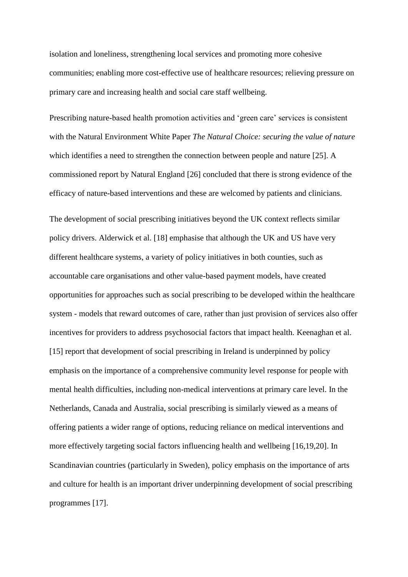isolation and loneliness, strengthening local services and promoting more cohesive communities; enabling more cost-effective use of healthcare resources; relieving pressure on primary care and increasing health and social care staff wellbeing.

Prescribing nature-based health promotion activities and 'green care' services is consistent with the Natural Environment White Paper *The Natural Choice: securing the value of nature* which identifies a need to strengthen the connection between people and nature [25]. A commissioned report by Natural England [26] concluded that there is strong evidence of the efficacy of nature-based interventions and these are welcomed by patients and clinicians.

The development of social prescribing initiatives beyond the UK context reflects similar policy drivers. Alderwick et al. [18] emphasise that although the UK and US have very different healthcare systems, a variety of policy initiatives in both counties, such as accountable care organisations and other value-based payment models, have created opportunities for approaches such as social prescribing to be developed within the healthcare system - models that reward outcomes of care, rather than just provision of services also offer incentives for providers to address psychosocial factors that impact health. Keenaghan et al. [15] report that development of social prescribing in Ireland is underpinned by policy emphasis on the importance of a comprehensive community level response for people with mental health difficulties, including non-medical interventions at primary care level. In the Netherlands, Canada and Australia, social prescribing is similarly viewed as a means of offering patients a wider range of options, reducing reliance on medical interventions and more effectively targeting social factors influencing health and wellbeing [16,19,20]. In Scandinavian countries (particularly in Sweden), policy emphasis on the importance of arts and culture for health is an important driver underpinning development of social prescribing programmes [17].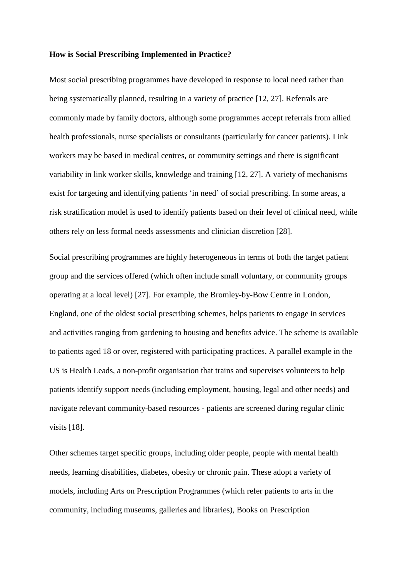#### **How is Social Prescribing Implemented in Practice?**

Most social prescribing programmes have developed in response to local need rather than being systematically planned, resulting in a variety of practice [12, 27]. Referrals are commonly made by family doctors, although some programmes accept referrals from allied health professionals, nurse specialists or consultants (particularly for cancer patients). Link workers may be based in medical centres, or community settings and there is significant variability in link worker skills, knowledge and training [12, 27]. A variety of mechanisms exist for targeting and identifying patients 'in need' of social prescribing. In some areas, a risk stratification model is used to identify patients based on their level of clinical need, while others rely on less formal needs assessments and clinician discretion [28].

Social prescribing programmes are highly heterogeneous in terms of both the target patient group and the services offered (which often include small voluntary, or community groups operating at a local level) [27]. For example, the Bromley-by-Bow Centre in London, England, one of the oldest social prescribing schemes, helps patients to engage in services and activities ranging from gardening to housing and benefits advice. The scheme is available to patients aged 18 or over, registered with participating practices. A parallel example in the US is Health Leads, a non-profit organisation that trains and supervises volunteers to help patients identify support needs (including employment, housing, legal and other needs) and navigate relevant community-based resources - patients are screened during regular clinic visits [18].

Other schemes target specific groups, including older people, people with mental health needs, learning disabilities, diabetes, obesity or chronic pain. These adopt a variety of models, including Arts on Prescription Programmes (which refer patients to arts in the community, including museums, galleries and libraries), Books on Prescription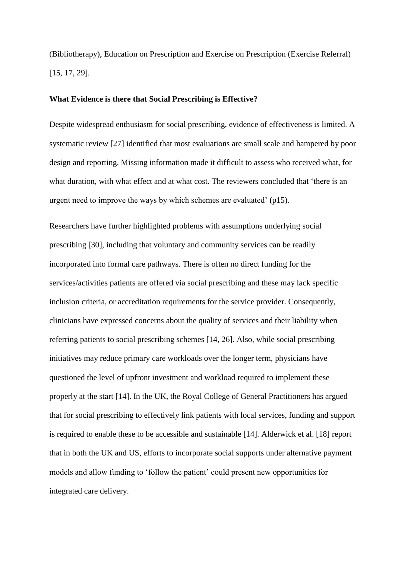(Bibliotherapy), Education on Prescription and Exercise on Prescription (Exercise Referral) [15, 17, 29].

#### **What Evidence is there that Social Prescribing is Effective?**

Despite widespread enthusiasm for social prescribing, evidence of effectiveness is limited. A systematic review [27] identified that most evaluations are small scale and hampered by poor design and reporting. Missing information made it difficult to assess who received what, for what duration, with what effect and at what cost. The reviewers concluded that 'there is an urgent need to improve the ways by which schemes are evaluated' (p15).

Researchers have further highlighted problems with assumptions underlying social prescribing [30], including that voluntary and community services can be readily incorporated into formal care pathways. There is often no direct funding for the services/activities patients are offered via social prescribing and these may lack specific inclusion criteria, or accreditation requirements for the service provider. Consequently, clinicians have expressed concerns about the quality of services and their liability when referring patients to social prescribing schemes [14, 26]. Also, while social prescribing initiatives may reduce primary care workloads over the longer term, physicians have questioned the level of upfront investment and workload required to implement these properly at the start [14]. In the UK, the Royal College of General Practitioners has argued that for social prescribing to effectively link patients with local services, funding and support is required to enable these to be accessible and sustainable [14]. Alderwick et al. [18] report that in both the UK and US, efforts to incorporate social supports under alternative payment models and allow funding to 'follow the patient' could present new opportunities for integrated care delivery.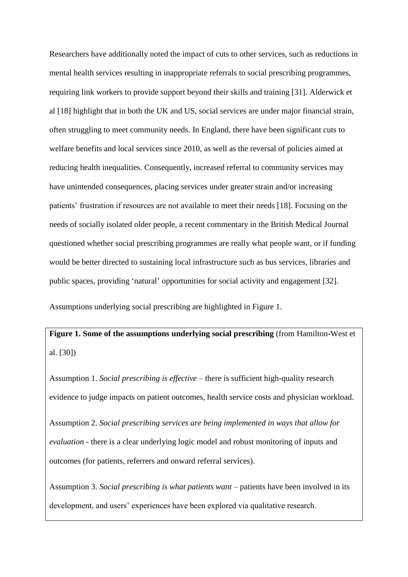Researchers have additionally noted the impact of cuts to other services, such as reductions in mental health services resulting in inappropriate referrals to social prescribing programmes, requiring link workers to provide support beyond their skills and training [31]. Alderwick et al [18] highlight that in both the UK and US, social services are under major financial strain, often struggling to meet community needs. In England, there have been significant cuts to welfare benefits and local services since 2010, as well as the reversal of policies aimed at reducing health inequalities. Consequently, increased referral to community services may have unintended consequences, placing services under greater strain and/or increasing patients' frustration if resources are not available to meet their needs [18]. Focusing on the needs of socially isolated older people, a recent commentary in the British Medical Journal questioned whether social prescribing programmes are really what people want, or if funding would be better directed to sustaining local infrastructure such as bus services, libraries and public spaces, providing 'natural' opportunities for social activity and engagement [32].

Assumptions underlying social prescribing are highlighted in Figure 1.

**Figure 1. Some of the assumptions underlying social prescribing** (from Hamilton-West et al. [30])

Assumption 1. *Social prescribing is effective* – there is sufficient high-quality research evidence to judge impacts on patient outcomes, health service costs and physician workload.

Assumption 2. *Social prescribing services are being implemented in ways that allow for evaluation* - there is a clear underlying logic model and robust monitoring of inputs and outcomes (for patients, referrers and onward referral services).

Assumption 3. *Social prescribing is what patients want* – patients have been involved in its development, and users' experiences have been explored via qualitative research.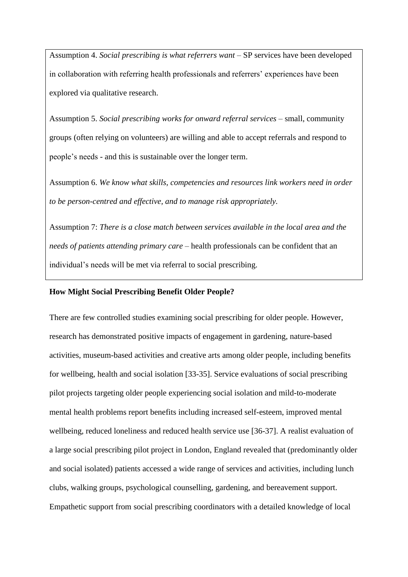Assumption 4. *Social prescribing is what referrers want* – SP services have been developed in collaboration with referring health professionals and referrers' experiences have been explored via qualitative research.

Assumption 5. *Social prescribing works for onward referral services* – small, community groups (often relying on volunteers) are willing and able to accept referrals and respond to people's needs - and this is sustainable over the longer term.

Assumption 6. *We know what skills, competencies and resources link workers need in order to be person-centred and effective, and to manage risk appropriately.* 

Assumption 7: *There is a close match between services available in the local area and the needs of patients attending primary care* – health professionals can be confident that an individual's needs will be met via referral to social prescribing.

#### **How Might Social Prescribing Benefit Older People?**

There are few controlled studies examining social prescribing for older people. However, research has demonstrated positive impacts of engagement in gardening, nature-based activities, museum-based activities and creative arts among older people, including benefits for wellbeing, health and social isolation [33-35]. Service evaluations of social prescribing pilot projects targeting older people experiencing social isolation and mild-to-moderate mental health problems report benefits including increased self-esteem, improved mental wellbeing, reduced loneliness and reduced health service use [36-37]. A realist evaluation of a large social prescribing pilot project in London, England revealed that (predominantly older and social isolated) patients accessed a wide range of services and activities, including lunch clubs, walking groups, psychological counselling, gardening, and bereavement support. Empathetic support from social prescribing coordinators with a detailed knowledge of local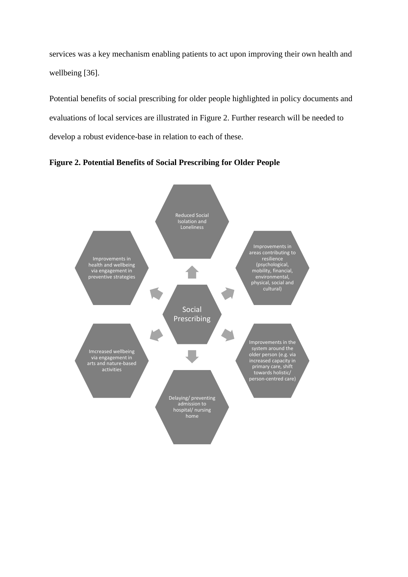services was a key mechanism enabling patients to act upon improving their own health and wellbeing [36].

Potential benefits of social prescribing for older people highlighted in policy documents and evaluations of local services are illustrated in Figure 2. Further research will be needed to develop a robust evidence-base in relation to each of these.



**Figure 2. Potential Benefits of Social Prescribing for Older People**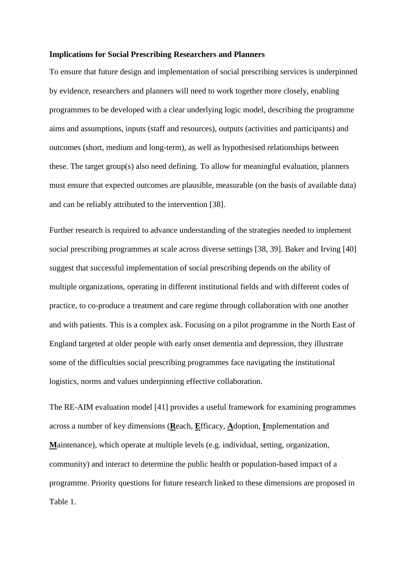#### **Implications for Social Prescribing Researchers and Planners**

To ensure that future design and implementation of social prescribing services is underpinned by evidence, researchers and planners will need to work together more closely, enabling programmes to be developed with a clear underlying logic model, describing the programme aims and assumptions, inputs (staff and resources), outputs (activities and participants) and outcomes (short, medium and long-term), as well as hypothesised relationships between these. The target group(s) also need defining. To allow for meaningful evaluation, planners must ensure that expected outcomes are plausible, measurable (on the basis of available data) and can be reliably attributed to the intervention [38].

Further research is required to advance understanding of the strategies needed to implement social prescribing programmes at scale across diverse settings [38, 39]. Baker and Irving [40] suggest that successful implementation of social prescribing depends on the ability of multiple organizations, operating in different institutional fields and with different codes of practice, to co-produce a treatment and care regime through collaboration with one another and with patients. This is a complex ask. Focusing on a pilot programme in the North East of England targeted at older people with early onset dementia and depression, they illustrate some of the difficulties social prescribing programmes face navigating the institutional logistics, norms and values underpinning effective collaboration.

The RE-AIM evaluation model [41] provides a useful framework for examining programmes across a number of key dimensions (**R**each, **E**fficacy, **A**doption, **I**mplementation and **M**aintenance), which operate at multiple levels (e.g. individual, setting, organization, community) and interact to determine the public health or population-based impact of a programme. Priority questions for future research linked to these dimensions are proposed in Table 1.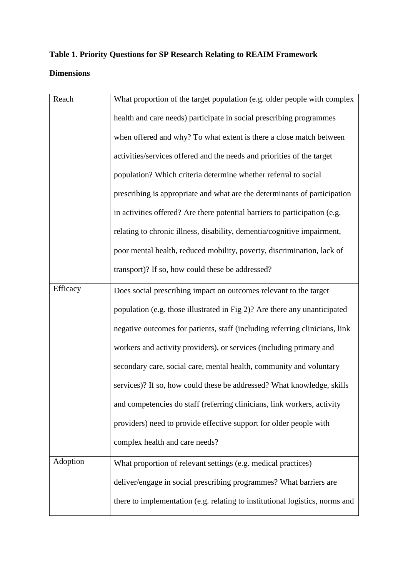## **Table 1. Priority Questions for SP Research Relating to REAIM Framework Dimensions**

| Reach    | What proportion of the target population (e.g. older people with complex     |
|----------|------------------------------------------------------------------------------|
|          | health and care needs) participate in social prescribing programmes          |
|          | when offered and why? To what extent is there a close match between          |
|          | activities/services offered and the needs and priorities of the target       |
|          | population? Which criteria determine whether referral to social              |
|          | prescribing is appropriate and what are the determinants of participation    |
|          | in activities offered? Are there potential barriers to participation (e.g.   |
|          | relating to chronic illness, disability, dementia/cognitive impairment,      |
|          | poor mental health, reduced mobility, poverty, discrimination, lack of       |
|          | transport)? If so, how could these be addressed?                             |
| Efficacy | Does social prescribing impact on outcomes relevant to the target            |
|          | population (e.g. those illustrated in Fig 2)? Are there any unanticipated    |
|          | negative outcomes for patients, staff (including referring clinicians, link  |
|          | workers and activity providers), or services (including primary and          |
|          | secondary care, social care, mental health, community and voluntary          |
|          | services)? If so, how could these be addressed? What knowledge, skills       |
|          | and competencies do staff (referring clinicians, link workers, activity      |
|          | providers) need to provide effective support for older people with           |
|          | complex health and care needs?                                               |
| Adoption | What proportion of relevant settings (e.g. medical practices)                |
|          | deliver/engage in social prescribing programmes? What barriers are           |
|          | there to implementation (e.g. relating to institutional logistics, norms and |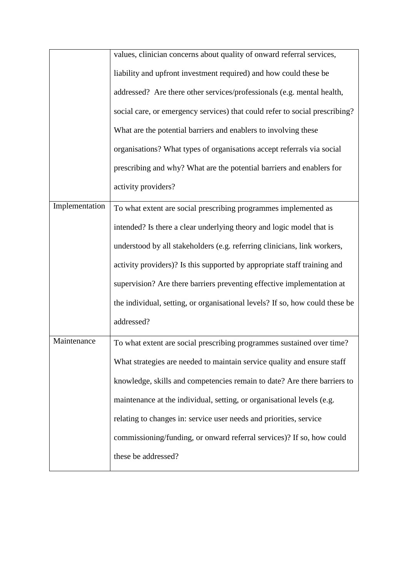|                | values, clinician concerns about quality of onward referral services,        |
|----------------|------------------------------------------------------------------------------|
|                | liability and upfront investment required) and how could these be            |
|                | addressed? Are there other services/professionals (e.g. mental health,       |
|                | social care, or emergency services) that could refer to social prescribing?  |
|                | What are the potential barriers and enablers to involving these              |
|                | organisations? What types of organisations accept referrals via social       |
|                | prescribing and why? What are the potential barriers and enablers for        |
|                | activity providers?                                                          |
| Implementation | To what extent are social prescribing programmes implemented as              |
|                | intended? Is there a clear underlying theory and logic model that is         |
|                | understood by all stakeholders (e.g. referring clinicians, link workers,     |
|                | activity providers)? Is this supported by appropriate staff training and     |
|                | supervision? Are there barriers preventing effective implementation at       |
|                | the individual, setting, or organisational levels? If so, how could these be |
|                | addressed?                                                                   |
| Maintenance    | To what extent are social prescribing programmes sustained over time?        |
|                | What strategies are needed to maintain service quality and ensure staff      |
|                | knowledge, skills and competencies remain to date? Are there barriers to     |
|                | maintenance at the individual, setting, or organisational levels (e.g.       |
|                | relating to changes in: service user needs and priorities, service           |
|                | commissioning/funding, or onward referral services)? If so, how could        |
|                | these be addressed?                                                          |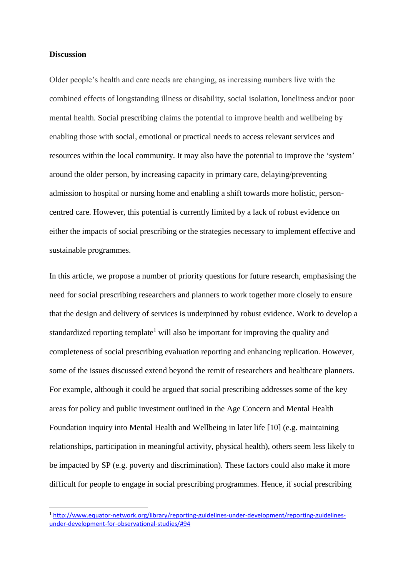#### **Discussion**

 $\overline{\phantom{a}}$ 

Older people's health and care needs are changing, as increasing numbers live with the combined effects of longstanding illness or disability, social isolation, loneliness and/or poor mental health. Social prescribing claims the potential to improve health and wellbeing by enabling those with social, emotional or practical needs to access relevant services and resources within the local community. It may also have the potential to improve the 'system' around the older person, by increasing capacity in primary care, delaying/preventing admission to hospital or nursing home and enabling a shift towards more holistic, personcentred care. However, this potential is currently limited by a lack of robust evidence on either the impacts of social prescribing or the strategies necessary to implement effective and sustainable programmes.

In this article, we propose a number of priority questions for future research, emphasising the need for social prescribing researchers and planners to work together more closely to ensure that the design and delivery of services is underpinned by robust evidence. Work to develop a standardized reporting template<sup>1</sup> will also be important for improving the quality and completeness of social prescribing evaluation reporting and enhancing replication. However, some of the issues discussed extend beyond the remit of researchers and healthcare planners. For example, although it could be argued that social prescribing addresses some of the key areas for policy and public investment outlined in the Age Concern and Mental Health Foundation inquiry into Mental Health and Wellbeing in later life [10] (e.g. maintaining relationships, participation in meaningful activity, physical health), others seem less likely to be impacted by SP (e.g. poverty and discrimination). These factors could also make it more difficult for people to engage in social prescribing programmes. Hence, if social prescribing

<sup>1</sup> [http://www.equator-network.org/library/reporting-guidelines-under-development/reporting-guidelines](http://www.equator-network.org/library/reporting-guidelines-under-development/reporting-guidelines-under-development-for-observational-studies/#94)[under-development-for-observational-studies/#94](http://www.equator-network.org/library/reporting-guidelines-under-development/reporting-guidelines-under-development-for-observational-studies/#94)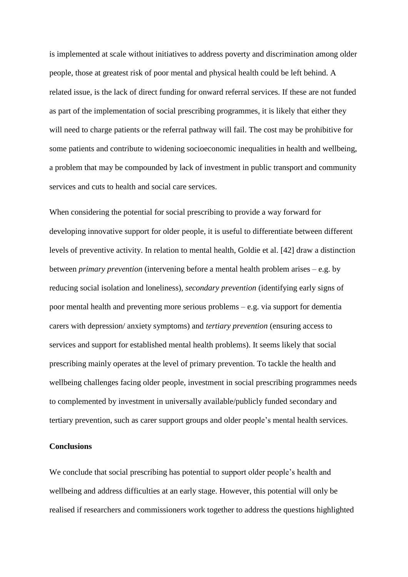is implemented at scale without initiatives to address poverty and discrimination among older people, those at greatest risk of poor mental and physical health could be left behind. A related issue, is the lack of direct funding for onward referral services. If these are not funded as part of the implementation of social prescribing programmes, it is likely that either they will need to charge patients or the referral pathway will fail. The cost may be prohibitive for some patients and contribute to widening socioeconomic inequalities in health and wellbeing, a problem that may be compounded by lack of investment in public transport and community services and cuts to health and social care services.

When considering the potential for social prescribing to provide a way forward for developing innovative support for older people, it is useful to differentiate between different levels of preventive activity. In relation to mental health, Goldie et al. [42] draw a distinction between *primary prevention* (intervening before a mental health problem arises – e.g. by reducing social isolation and loneliness), *secondary prevention* (identifying early signs of poor mental health and preventing more serious problems – e.g. via support for dementia carers with depression/ anxiety symptoms) and *tertiary prevention* (ensuring access to services and support for established mental health problems). It seems likely that social prescribing mainly operates at the level of primary prevention. To tackle the health and wellbeing challenges facing older people, investment in social prescribing programmes needs to complemented by investment in universally available/publicly funded secondary and tertiary prevention, such as carer support groups and older people's mental health services.

#### **Conclusions**

We conclude that social prescribing has potential to support older people's health and wellbeing and address difficulties at an early stage. However, this potential will only be realised if researchers and commissioners work together to address the questions highlighted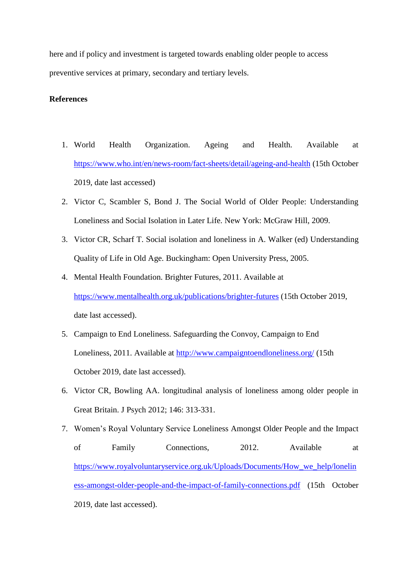here and if policy and investment is targeted towards enabling older people to access preventive services at primary, secondary and tertiary levels.

#### **References**

- 1. World Health Organization. Ageing and Health. Available at <https://www.who.int/en/news-room/fact-sheets/detail/ageing-and-health> (15th October 2019, date last accessed)
- 2. Victor C, Scambler S, Bond J. The Social World of Older People: Understanding Loneliness and Social Isolation in Later Life*.* New York: McGraw Hill, 2009.
- 3. Victor CR, Scharf T. Social isolation and loneliness in A. Walker (ed) Understanding Quality of Life in Old Age. Buckingham: Open University Press, 2005.
- 4. Mental Health Foundation. Brighter Futures, 2011. Available at <https://www.mentalhealth.org.uk/publications/brighter-futures> (15th October 2019, date last accessed).
- 5. Campaign to End Loneliness. Safeguarding the Convoy, Campaign to End Loneliness, 2011. Available at<http://www.campaigntoendloneliness.org/> (15th October 2019, date last accessed).
- 6. Victor CR, Bowling AA. longitudinal analysis of loneliness among older people in Great Britain. J Psych 2012; 146: 313-331.
- 7. Women's Royal Voluntary Service Loneliness Amongst Older People and the Impact of Family Connections, 2012. Available at [https://www.royalvoluntaryservice.org.uk/Uploads/Documents/How\\_we\\_help/lonelin](https://www.royalvoluntaryservice.org.uk/Uploads/Documents/How_we_help/loneliness-amongst-older-people-and-the-impact-of-family-connections.pdf) [ess-amongst-older-people-and-the-impact-of-family-connections.pdf](https://www.royalvoluntaryservice.org.uk/Uploads/Documents/How_we_help/loneliness-amongst-older-people-and-the-impact-of-family-connections.pdf) (15th October 2019, date last accessed).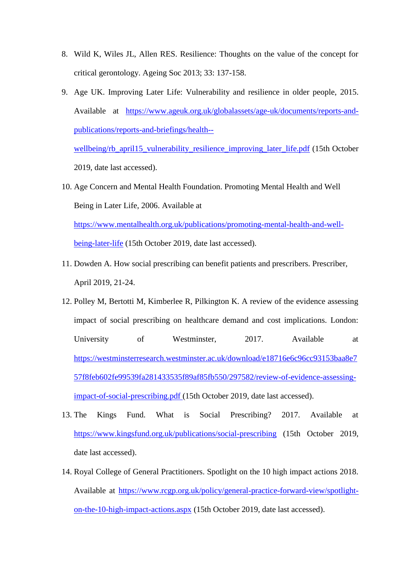- 8. Wild K, Wiles JL, Allen RES. Resilience: Thoughts on the value of the concept for critical gerontology. Ageing Soc 2013; 33: 137-158.
- 9. Age UK. Improving Later Life: Vulnerability and resilience in older people, 2015. Available at [https://www.ageuk.org.uk/globalassets/age-uk/documents/reports-and](https://www.ageuk.org.uk/globalassets/age-uk/documents/reports-and-publications/reports-and-briefings/health--wellbeing/rb_april15_vulnerability_resilience_improving_later_life.pdf)[publications/reports-and-briefings/health--](https://www.ageuk.org.uk/globalassets/age-uk/documents/reports-and-publications/reports-and-briefings/health--wellbeing/rb_april15_vulnerability_resilience_improving_later_life.pdf)

[wellbeing/rb\\_april15\\_vulnerability\\_resilience\\_improving\\_later\\_life.pdf](https://www.ageuk.org.uk/globalassets/age-uk/documents/reports-and-publications/reports-and-briefings/health--wellbeing/rb_april15_vulnerability_resilience_improving_later_life.pdf) (15th October 2019, date last accessed).

- 10. Age Concern and Mental Health Foundation. Promoting Mental Health and Well Being in Later Life, 2006. Available at [https://www.mentalhealth.org.uk/publications/promoting-mental-health-and-well](https://www.mentalhealth.org.uk/publications/promoting-mental-health-and-well-being-later-life)[being-later-life](https://www.mentalhealth.org.uk/publications/promoting-mental-health-and-well-being-later-life) (15th October 2019, date last accessed).
- 11. Dowden A. How social prescribing can benefit patients and prescribers. Prescriber, April 2019, 21-24.
- 12. Polley M, Bertotti M, Kimberlee R, Pilkington K. A review of the evidence assessing impact of social prescribing on healthcare demand and cost implications. London: University of Westminster, 2017. Available at [https://westminsterresearch.westminster.ac.uk/download/e18716e6c96cc93153baa8e7](https://westminsterresearch.westminster.ac.uk/download/e18716e6c96cc93153baa8e757f8feb602fe99539fa281433535f89af85fb550/297582/review-of-evidence-assessing-impact-of-social-prescribing.pdf) [57f8feb602fe99539fa281433535f89af85fb550/297582/review-of-evidence-assessing](https://westminsterresearch.westminster.ac.uk/download/e18716e6c96cc93153baa8e757f8feb602fe99539fa281433535f89af85fb550/297582/review-of-evidence-assessing-impact-of-social-prescribing.pdf)[impact-of-social-prescribing.pdf](https://westminsterresearch.westminster.ac.uk/download/e18716e6c96cc93153baa8e757f8feb602fe99539fa281433535f89af85fb550/297582/review-of-evidence-assessing-impact-of-social-prescribing.pdf) (15th October 2019, date last accessed).
- 13. The Kings Fund. What is Social Prescribing? 2017. Available at <https://www.kingsfund.org.uk/publications/social-prescribing> (15th October 2019, date last accessed).
- 14. Royal College of General Practitioners. Spotlight on the 10 high impact actions 2018. Available at [https://www.rcgp.org.uk/policy/general-practice-forward-view/spotlight](https://www.rcgp.org.uk/policy/general-practice-forward-view/spotlight-on-the-10-high-impact-actions.aspx)[on-the-10-high-impact-actions.aspx](https://www.rcgp.org.uk/policy/general-practice-forward-view/spotlight-on-the-10-high-impact-actions.aspx) (15th October 2019, date last accessed).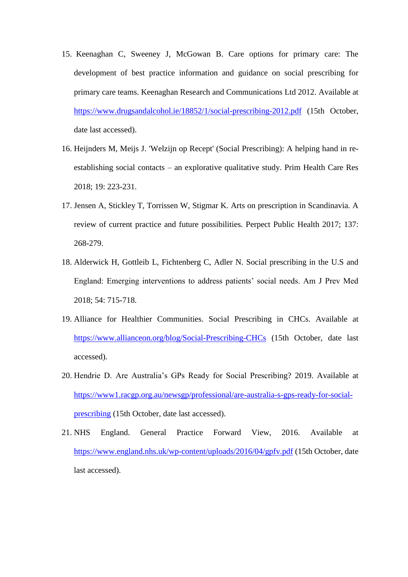- 15. Keenaghan C, Sweeney J, McGowan B. Care options for primary care: The development of best practice information and guidance on social prescribing for primary care teams. Keenaghan Research and Communications Ltd 2012. Available at <https://www.drugsandalcohol.ie/18852/1/social-prescribing-2012.pdf> (15th October, date last accessed).
- 16. Heijnders M, Meijs J. 'Welzijn op Recept' (Social Prescribing): A helping hand in reestablishing social contacts – an explorative qualitative study. Prim Health Care Res 2018; 19: 223-231.
- 17. Jensen A, Stickley T, Torrissen W, Stigmar K. Arts on prescription in Scandinavia. A review of current practice and future possibilities. Perpect Public Health 2017; 137: 268-279.
- 18. Alderwick H, Gottleib L, Fichtenberg C, Adler N. Social prescribing in the U.S and England: Emerging interventions to address patients' social needs. Am J Prev Med 2018; 54: 715-718.
- 19. Alliance for Healthier Communities. Social Prescribing in CHCs. Available at <https://www.allianceon.org/blog/Social-Prescribing-CHCs> (15th October, date last accessed).
- 20. Hendrie D. Are Australia's GPs Ready for Social Prescribing? 2019. Available at [https://www1.racgp.org.au/newsgp/professional/are-australia-s-gps-ready-for-social](https://www1.racgp.org.au/newsgp/professional/are-australia-s-gps-ready-for-social-prescribing)[prescribing](https://www1.racgp.org.au/newsgp/professional/are-australia-s-gps-ready-for-social-prescribing) (15th October, date last accessed).
- 21. NHS England. General Practice Forward View, 2016. Available at <https://www.england.nhs.uk/wp-content/uploads/2016/04/gpfv.pdf> (15th October, date last accessed).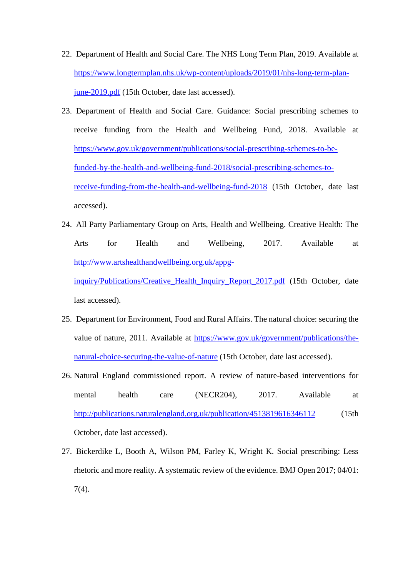- 22. Department of Health and Social Care. The NHS Long Term Plan, 2019. Available at [https://www.longtermplan.nhs.uk/wp-content/uploads/2019/01/nhs-long-term-plan](https://www.longtermplan.nhs.uk/wp-content/uploads/2019/01/nhs-long-term-plan-june-2019.pdf)[june-2019.pdf](https://www.longtermplan.nhs.uk/wp-content/uploads/2019/01/nhs-long-term-plan-june-2019.pdf) (15th October, date last accessed).
- 23. Department of Health and Social Care. Guidance: Social prescribing schemes to receive funding from the Health and Wellbeing Fund, 2018. Available at [https://www.gov.uk/government/publications/social-prescribing-schemes-to-be](https://www.gov.uk/government/publications/social-prescribing-schemes-to-be-funded-by-the-health-and-wellbeing-fund-2018/social-prescribing-schemes-to-receive-funding-from-the-health-and-wellbeing-fund-2018)[funded-by-the-health-and-wellbeing-fund-2018/social-prescribing-schemes-to](https://www.gov.uk/government/publications/social-prescribing-schemes-to-be-funded-by-the-health-and-wellbeing-fund-2018/social-prescribing-schemes-to-receive-funding-from-the-health-and-wellbeing-fund-2018)[receive-funding-from-the-health-and-wellbeing-fund-2018](https://www.gov.uk/government/publications/social-prescribing-schemes-to-be-funded-by-the-health-and-wellbeing-fund-2018/social-prescribing-schemes-to-receive-funding-from-the-health-and-wellbeing-fund-2018) (15th October, date last accessed).
- 24. All Party Parliamentary Group on Arts, Health and Wellbeing. Creative Health: The Arts for Health and Wellbeing, 2017. Available at [http://www.artshealthandwellbeing.org.uk/appg-](http://www.artshealthandwellbeing.org.uk/appg-inquiry/Publications/Creative_Health_Inquiry_Report_2017.pdf)

inquiry/Publications/Creative Health Inquiry Report 2017.pdf (15th October, date last accessed).

- 25. Department for Environment, Food and Rural Affairs. The natural choice: securing the value of nature, 2011. Available at [https://www.gov.uk/government/publications/the](https://www.gov.uk/government/publications/the-natural-choice-securing-the-value-of-nature)[natural-choice-securing-the-value-of-nature](https://www.gov.uk/government/publications/the-natural-choice-securing-the-value-of-nature) (15th October, date last accessed).
- 26. Natural England commissioned report. A review of nature-based interventions for mental health care (NECR204), 2017. Available at <http://publications.naturalengland.org.uk/publication/4513819616346112> (15th October, date last accessed).
- 27. Bickerdike L, Booth A, Wilson PM, Farley K, Wright K. Social prescribing: Less rhetoric and more reality. A systematic review of the evidence. BMJ Open 2017; 04/01: 7(4).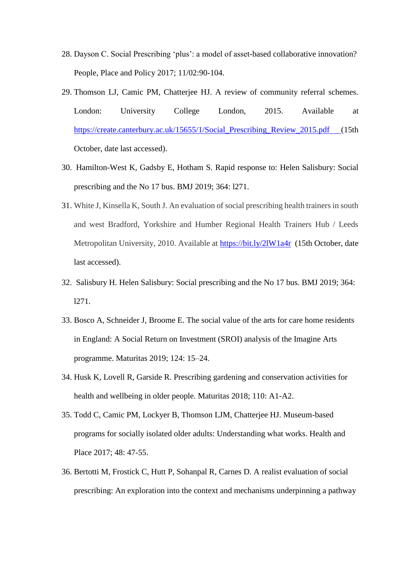- 28. Dayson C. Social Prescribing 'plus': a model of asset-based collaborative innovation? People, Place and Policy 2017; 11/02:90-104.
- 29. Thomson LJ, Camic PM, Chatterjee HJ. A review of community referral schemes. London: University College London, 2015. Available at [https://create.canterbury.ac.uk/15655/1/Social\\_Prescribing\\_Review\\_2015.pdf](https://create.canterbury.ac.uk/15655/1/Social_Prescribing_Review_2015.pdf) (15th) October, date last accessed).
- 30. Hamilton-West K, Gadsby E, Hotham S. Rapid response to: Helen Salisbury: Social prescribing and the No 17 bus. BMJ 2019; 364: l271.
- 31. White J, Kinsella K, South J. An evaluation of social prescribing health trainers in south and west Bradford, Yorkshire and Humber Regional Health Trainers Hub / Leeds Metropolitan University, 2010. Available at<https://bit.ly/2lW1a4r>(15th October, date last accessed).
- 32. Salisbury H. Helen Salisbury: Social prescribing and the No 17 bus. BMJ 2019; 364: l271.
- 33. Bosco A, Schneider J, Broome E. The social value of the arts for care home residents in England: A Social Return on Investment (SROI) analysis of the Imagine Arts programme. Maturitas 2019; 124: 15–24.
- 34. Husk K, Lovell R, Garside R. Prescribing gardening and conservation activities for health and wellbeing in older people. Maturitas 2018; 110: A1-A2.
- 35. Todd C, Camic PM, Lockyer B, Thomson LJM, Chatterjee HJ. Museum-based programs for socially isolated older adults: Understanding what works. Health and Place 2017; 48: 47-55.
- 36. Bertotti M, Frostick C, Hutt P, Sohanpal R, Carnes D. A realist evaluation of social prescribing: An exploration into the context and mechanisms underpinning a pathway